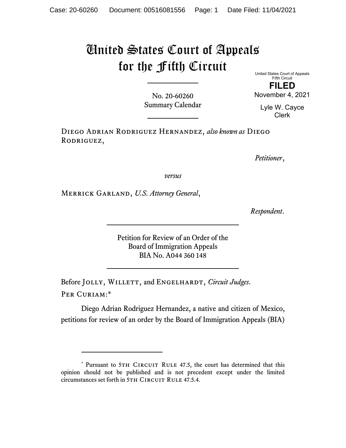## United States Court of Appeals for the Fifth Circuit

No. 20-60260 Summary Calendar United States Court of Appeals Fifth Circuit **FILED**  November 4, 2021

> Lyle W. Cayce Clerk

Diego Adrian Rodriguez Hernandez, *also known as* Diego RODRIGUEZ,

*Petitioner*,

*versus*

Merrick Garland, *U.S. Attorney General*,

*Respondent*.

Petition for Review of an Order of the Board of Immigration Appeals BIA No. A044 360 148

Before JOLLY, WILLETT, and ENGELHARDT, *Circuit Judges*. Per Curiam:\*

Diego Adrian Rodriguez Hernandez, a native and citizen of Mexico, petitions for review of an order by the Board of Immigration Appeals (BIA)

<sup>\*</sup> Pursuant to 5TH CIRCUIT RULE 47.5, the court has determined that this opinion should not be published and is not precedent except under the limited circumstances set forth in 5TH CIRCUIT RULE 47.5.4.